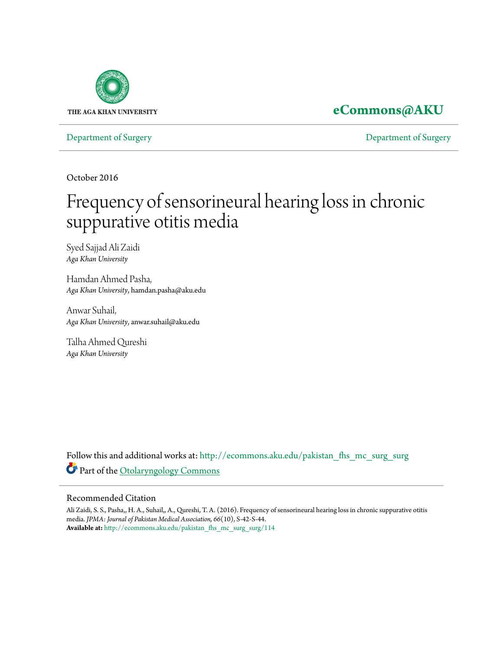

## **[eCommons@AKU](http://ecommons.aku.edu?utm_source=ecommons.aku.edu%2Fpakistan_fhs_mc_surg_surg%2F114&utm_medium=PDF&utm_campaign=PDFCoverPages)**

[Department of Surgery](http://ecommons.aku.edu/pakistan_fhs_mc_surg_surg?utm_source=ecommons.aku.edu%2Fpakistan_fhs_mc_surg_surg%2F114&utm_medium=PDF&utm_campaign=PDFCoverPages) [Department of Surgery](http://ecommons.aku.edu/pakistan_fhs_mc_surg?utm_source=ecommons.aku.edu%2Fpakistan_fhs_mc_surg_surg%2F114&utm_medium=PDF&utm_campaign=PDFCoverPages)

October 2016

# Frequency of sensorineural hearing loss in chronic suppurative otitis media

Syed Sajjad Ali Zaidi *Aga Khan University*

Hamdan Ahmed Pasha, *Aga Khan University*, hamdan.pasha@aku.edu

Anwar Suhail, *Aga Khan University*, anwar.suhail@aku.edu

Talha Ahmed Qureshi *Aga Khan University*

Follow this and additional works at: [http://ecommons.aku.edu/pakistan\\_fhs\\_mc\\_surg\\_surg](http://ecommons.aku.edu/pakistan_fhs_mc_surg_surg?utm_source=ecommons.aku.edu%2Fpakistan_fhs_mc_surg_surg%2F114&utm_medium=PDF&utm_campaign=PDFCoverPages) Part of the [Otolaryngology Commons](http://network.bepress.com/hgg/discipline/698?utm_source=ecommons.aku.edu%2Fpakistan_fhs_mc_surg_surg%2F114&utm_medium=PDF&utm_campaign=PDFCoverPages)

#### Recommended Citation

Ali Zaidi, S. S., Pasha,, H. A., Suhail,, A., Qureshi, T. A. (2016). Frequency of sensorineural hearing loss in chronic suppurative otitis media. *JPMA: Journal of Pakistan Medical Association, 66*(10), S-42-S-44. **Available at:** [http://ecommons.aku.edu/pakistan\\_fhs\\_mc\\_surg\\_surg/114](http://ecommons.aku.edu/pakistan_fhs_mc_surg_surg/114)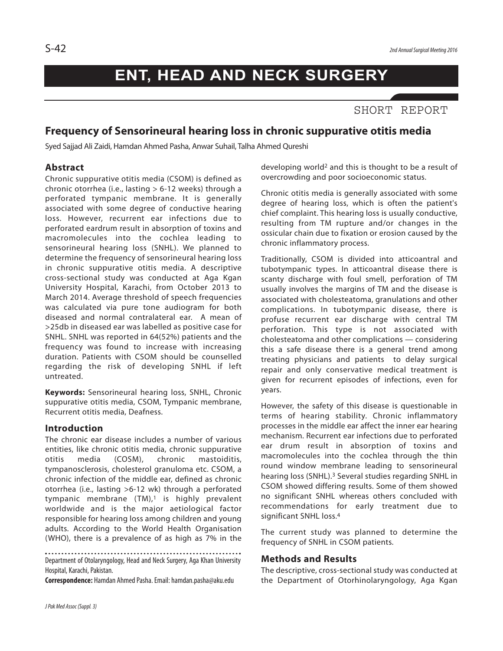# **ENT, HEAD AND NECK SURGERY**

### SHORT REPORT

### **Frequency of Sensorineural hearing loss in chronic suppurative otitis media**

Syed Sajjad Ali Zaidi, Hamdan Ahmed Pasha, Anwar Suhail, Talha Ahmed Qureshi

#### **Abstract**

Chronic suppurative otitis media (CSOM) is defined as chronic otorrhea (i.e., lasting > 6-12 weeks) through a perforated tympanic membrane. It is generally associated with some degree of conductive hearing loss. However, recurrent ear infections due to perforated eardrum result in absorption of toxins and macromolecules into the cochlea leading to sensorineural hearing loss (SNHL). We planned to determine the frequency of sensorineural hearing loss in chronic suppurative otitis media. A descriptive cross-sectional study was conducted at Aga Kgan University Hospital, Karachi, from October 2013 to March 2014. Average threshold of speech frequencies was calculated via pure tone audiogram for both diseased and normal contralateral ear. A mean of >25db in diseased ear was labelled as positive case for SNHL. SNHL was reported in 64(52%) patients and the frequency was found to increase with increasing duration. Patients with CSOM should be counselled regarding the risk of developing SNHL if left untreated.

**Keywords:** Sensorineural hearing loss, SNHL, Chronic suppurative otitis media, CSOM, Tympanic membrane, Recurrent otitis media, Deafness.

#### **Introduction**

The chronic ear disease includes a number of various entities, like chronic otitis media, chronic suppurative otitis media (COSM), chronic mastoiditis, tympanosclerosis, cholesterol granuloma etc. CSOM, a chronic infection of the middle ear, defined as chronic otorrhea (i.e., lasting >6-12 wk) through a perforated tympanic membrane  $(TM)$ ,<sup>1</sup> is highly prevalent worldwide and is the major aetiological factor responsible for hearing loss among children and young adults. According to the World Health Organisation (WHO), there is a prevalence of as high as 7% in the

Department of Otolaryngology, Head and Neck Surgery, Aga Khan University Hospital, Karachi, Pakistan.

**Correspondence:** Hamdan AhmedPasha.Email: hamdan.pasha@aku.edu

developing world2 and this is thought to be a result of overcrowding and poor socioeconomic status.

Chronic otitis media is generally associated with some degree of hearing loss, which is often the patient's chief complaint. This hearing loss is usually conductive, resulting from TM rupture and/or changes in the ossicular chain due to fixation or erosion caused by the chronic inflammatory process.

Traditionally, CSOM is divided into atticoantral and tubotympanic types. In atticoantral disease there is scanty discharge with foul smell, perforation of TM usually involves the margins of TM and the disease is associated with cholesteatoma, granulations and other complications. In tubotympanic disease, there is profuse recurrent ear discharge with central TM perforation. This type is not associated with cholesteatoma and other complications — considering this a safe disease there is a general trend among treating physicians and patients to delay surgical repair and only conservative medical treatment is given for recurrent episodes of infections, even for years.

However, the safety of this disease is questionable in terms of hearing stability. Chronic inflammatory processes in the middle ear affect the inner ear hearing mechanism. Recurrent ear infections due to perforated ear drum result in absorption of toxins and macromolecules into the cochlea through the thin round window membrane leading to sensorineural hearing loss (SNHL). <sup>3</sup> Several studies regarding SNHL in CSOM showed differing results. Some of them showed no significant SNHL whereas others concluded with recommendations for early treatment due to significant SNHL loss. 4

The current study was planned to determine the frequency of SNHL in CSOM patients.

#### **Methods and Results**

The descriptive, cross-sectional study was conducted at the Department of Otorhinolaryngology, Aga Kgan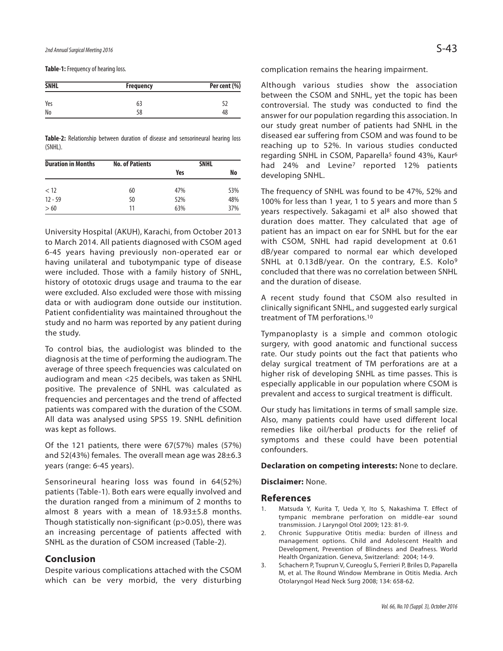**Table-1:** Frequency of hearing loss.

| <b>SNHL</b> | <b>Frequency</b> | Per cent (%) |  |
|-------------|------------------|--------------|--|
| Yes         | 63               |              |  |
| No          | 58               | 48           |  |

**Table-2:** Relationship between duration of disease and sensorineural hearing loss (SNHL).

| <b>Duration in Months</b> | <b>No. of Patients</b> | <b>SNHL</b> |     |
|---------------------------|------------------------|-------------|-----|
|                           |                        | Yes         | No  |
| < 12                      | 60                     | 47%         | 53% |
| $12 - 59$                 | 50                     | 52%         | 48% |
| >60                       | 11                     | 63%         | 37% |

University Hospital (AKUH), Karachi, from October 2013 to March 2014. All patients diagnosed with CSOM aged 6-45 years having previously non-operated ear or having unilateral and tubotympanic type of disease were included. Those with a family history of SNHL, history of ototoxic drugs usage and trauma to the ear were excluded. Also excluded were those with missing data or with audiogram done outside our institution. Patient confidentiality was maintained throughout the study and no harm was reported by any patient during the study.

To control bias, the audiologist was blinded to the diagnosis at the time of performing the audiogram. The average of three speech frequencies was calculated on audiogram and mean <25 decibels, was taken as SNHL positive. The prevalence of SNHL was calculated as frequencies and percentages and the trend of affected patients was compared with the duration of the CSOM. All data was analysed using SPSS 19. SNHL definition was kept as follows.

Of the 121 patients, there were 67(57%) males (57%) and 52(43%) females. The overall mean age was 28±6.3 years (range: 6-45 years).

Sensorineural hearing loss was found in 64(52%) patients (Table-1). Both ears were equally involved and the duration ranged from a minimum of 2 months to almost 8 years with a mean of 18.93±5.8 months. Though statistically non-significant (p>0.05), there was an increasing percentage of patients affected with SNHL as the duration of CSOM increased (Table-2).

#### **Conclusion**

Despite various complications attached with the CSOM which can be very morbid, the very disturbing complication remains the hearing impairment.

Although various studies show the association between the CSOM and SNHL, yet the topic has been controversial. The study was conducted to find the answer for our population regarding this association. In our study great number of patients had SNHL in the diseased ear suffering from CSOM and was found to be reaching up to 52%. In various studies conducted regarding SNHL in CSOM, Paparella<sup>5</sup> found 43%, Kaur<sup>6</sup> had 24% and Levine<sup>7</sup> reported 12% patients developing SNHL.

The frequency of SNHL was found to be 47%, 52% and 100% for less than 1 year, 1 to 5 years and more than 5 years respectively. Sakagami et al<sup>8</sup> also showed that duration does matter. They calculated that age of patient has an impact on ear for SNHL but for the ear with CSOM, SNHL had rapid development at 0.61 dB/year compared to normal ear which developed SNHL at 0.13dB/year. On the contrary, E.S. Kolo<sup>9</sup> concluded that there was no correlation between SNHL and the duration of disease.

A recent study found that CSOM also resulted in clinically significant SNHL, and suggested early surgical treatment of TM perforations. 10

Tympanoplasty is a simple and common otologic surgery, with good anatomic and functional success rate. Our study points out the fact that patients who delay surgical treatment of TM perforations are at a higher risk of developing SNHL as time passes. This is especially applicable in our population where CSOM is prevalent and access to surgical treatment is difficult.

Our study has limitations in terms of small sample size. Also, many patients could have used different local remedies like oil/herbal products for the relief of symptoms and these could have been potential confounders.

#### **Declaration on competing interests:** None to declare.

**Disclaimer:** None.

#### **References**

- 1. Matsuda Y, Kurita T, Ueda Y, Ito S, Nakashima T. Effect of tympanic membrane perforation on middle-ear sound transmission. J Laryngol Otol 2009; 123: 81-9.
- 2. Chronic Suppurative Otitis media: burden of illness and management options. Child and Adolescent Health and Development, Prevention of Blindness and Deafness. World Health Organization. Geneva, Switzerland: 2004; 14-9.
- 3. Schachern P, Tsuprun V, Cureoglu S, Ferrieri P, Briles D, Paparella M, et al. The Round Window Membrane in Otitis Media. Arch Otolaryngol Head Neck Surg 2008; 134: 658-62.